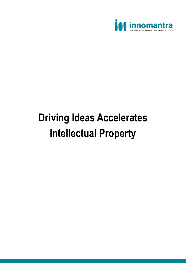

## **Driving Ideas Accelerates Intellectual Property**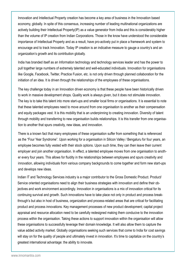Innovation and Intellectual Property creation has become a key area of business in the Innovation based economy, globally. In spite of this consensus, increasing number of leading multinational organizations are actively building their Intellectual Property(IP) as a value generator from India and this is considerably higher than the volume of IP creation from Indian Corporations. Those in the know have understood the considerable importance of Intellectual Property and as a result, have pro-actively put in place a framework and system to encourage and to track Innovation. Today IP creation is an indicative measure to gauge a country's and an organization's growth and its contribution globally.

India has branded itself as an Information technology and technology services leader and has the power to pull together large numbers of extremely talented and well-educated individuals. Innovation for organisations like Google, Facebook, Twitter, Practice Fusion, etc. is not only driven through planned collaboration for the initiation of an idea. It is driven through the relationships of the employees of these organisations.

The key challenge today in an Innovation driven economy is that these people have been historically driven to work in massive development shops. Quality work is always given, but it does not stimulate innovation. The key is to take this talent into more start-ups and smaller local firms or organisations. It is essential to note that these talented employees need to move around from one organisation to another as their compensation and equity packages vest. It is this mobility that is an underpinning to creating innovation. Diversity of talent through mobility and transferring to new organisation builds relationships. It is this transfer from one organisation to another that spurs creativity, new ideas, and innovation.

There is a known fact that many employees of these organisation suffer from something that is referenced as the "Four Year Syndrome". Upon working for a organisation in Silicon Valley / Bengaluru for four years, an employee becomes fully vested with their stock options. Upon such time, they can then leave their current employer and join another organisation. In effect, a talented employee moves from one organisation to another every four years. This allows for fluidity in the relationships between employees and spurs creativity and innovation, allowing individuals from various company backgrounds to come together and form new start-ups and develops new ideas.

Indian IT and Technology Services industry is a major contributor to the Gross Domestic Product. Product/ Service oriented organisations need to align their business strategies with innovation and define their objectives and work environment accordingly. Innovation in organisations is a mix of innovation critical for its continuing survival and growth. Such innovations have to take place not only in product and process breakthrough's but also in host of business, organization and process-related areas that are critical for facilitating product and process innovations. Key management processes of new product development; capital project appraisal and resource allocation need to be carefully redesigned making them conducive to the innovation process within the organisation. Taking these actions to support innovation within the organisation will allow these organisations to successfully leverage their domain knowledge. It will also allow them to capture the value added activity market. Globally organisations seeking such services that come to India for cost savings will stay on for the quality of people and ultimately invest in innovation. It's time to capitalize on the country's greatest international advantage: the ability to innovate.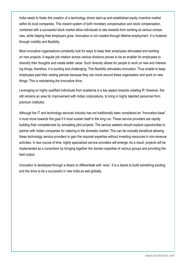India needs to foster the creation of a technology driven start-up and established equity incentive market within its local companies. This reward system of both monetary compensation and stock compensation, combined with a successful stock market allow individuals to see rewards from working at various companies, while helping their employers grow. Innovation is not created through lifetime employment. It is fostered through mobility and flexibility.

Most innovative organisations constantly look for ways to keep their employees stimulated and working on new projects. A regular job rotation across various divisions proves to be an enabler for employees to diversify their thoughts and create better value. Such diversity allows for people to work on new and interesting things; therefore, it is exciting and challenging. This flexibility stimulates innovation. Thus enable to keep employees past their vesting periods because they can move around these organisation and work on new things. This is maintaining the innovative drive.

Leveraging on highly qualified individuals from academia is a key aspect towards creating IP. However, this still remains an area for improvement with Indian corporations, to bring in highly talented personnel from premium institutes.

Although the IT and technology services Industry has not traditionally been considered an "Innovation-base", it must move towards this goal if it must sustain itself in the long run. These service providers are rapidly building their competencies by simulating pilot projects. The service seekers should explore opportunities to partner with Indian companies for catering to the domestic market. This can be mutually beneficial allowing these technology service providers to gain the required expertise without investing resources in non-revenue activities. In due course of time, highly specialized service providers will emerge. As a result, projects will be implemented as a consortium by bringing together the domain expertise of various groups and providing the best output.

Innovation is developed through a dream to differentiate with 'wow'. It is a desire to build something exciting and the drive to be a successful in new India as well globally.